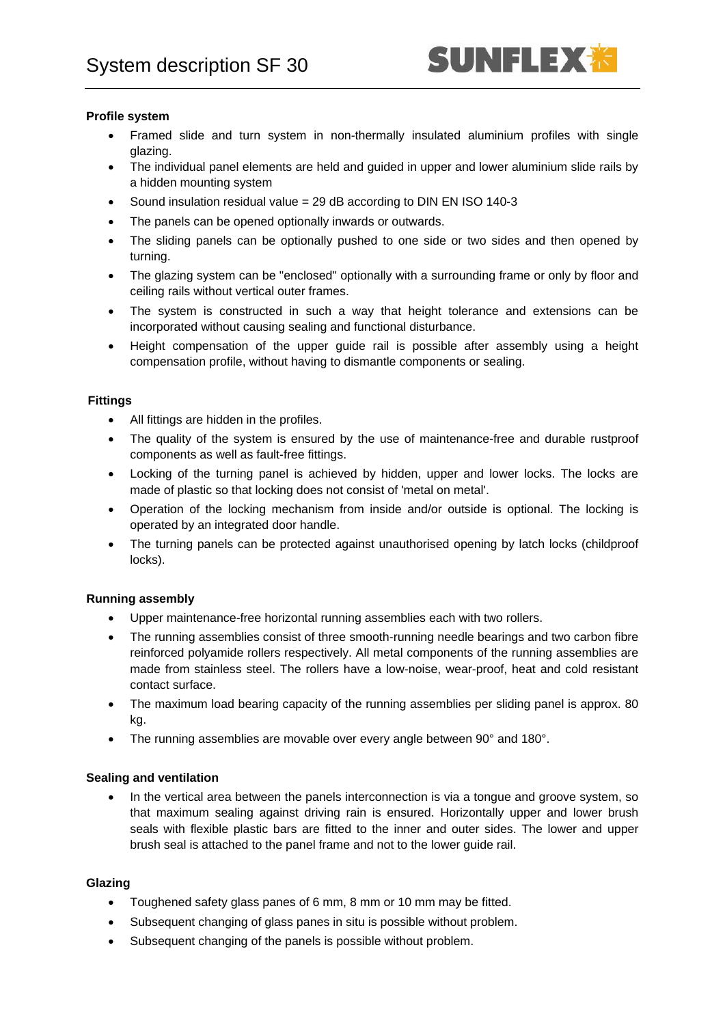# **Profile system**

- Framed slide and turn system in non-thermally insulated aluminium profiles with single glazing.
- The individual panel elements are held and guided in upper and lower aluminium slide rails by a hidden mounting system
- Sound insulation residual value = 29 dB according to DIN EN ISO 140-3
- The panels can be opened optionally inwards or outwards.
- The sliding panels can be optionally pushed to one side or two sides and then opened by turning.
- The glazing system can be "enclosed" optionally with a surrounding frame or only by floor and ceiling rails without vertical outer frames.
- The system is constructed in such a way that height tolerance and extensions can be incorporated without causing sealing and functional disturbance.
- Height compensation of the upper guide rail is possible after assembly using a height compensation profile, without having to dismantle components or sealing.

# **Fittings**

- All fittings are hidden in the profiles.
- The quality of the system is ensured by the use of maintenance-free and durable rustproof components as well as fault-free fittings.
- Locking of the turning panel is achieved by hidden, upper and lower locks. The locks are made of plastic so that locking does not consist of 'metal on metal'.
- Operation of the locking mechanism from inside and/or outside is optional. The locking is operated by an integrated door handle.
- The turning panels can be protected against unauthorised opening by latch locks (childproof locks).

### **Running assembly**

- Upper maintenance-free horizontal running assemblies each with two rollers.
- The running assemblies consist of three smooth-running needle bearings and two carbon fibre reinforced polyamide rollers respectively. All metal components of the running assemblies are made from stainless steel. The rollers have a low-noise, wear-proof, heat and cold resistant contact surface.
- The maximum load bearing capacity of the running assemblies per sliding panel is approx. 80 kg.
- The running assemblies are movable over every angle between 90° and 180°.

### **Sealing and ventilation**

• In the vertical area between the panels interconnection is via a tongue and groove system, so that maximum sealing against driving rain is ensured. Horizontally upper and lower brush seals with flexible plastic bars are fitted to the inner and outer sides. The lower and upper brush seal is attached to the panel frame and not to the lower guide rail.

### **Glazing**

- Toughened safety glass panes of 6 mm, 8 mm or 10 mm may be fitted.
- Subsequent changing of glass panes in situ is possible without problem.
- Subsequent changing of the panels is possible without problem.